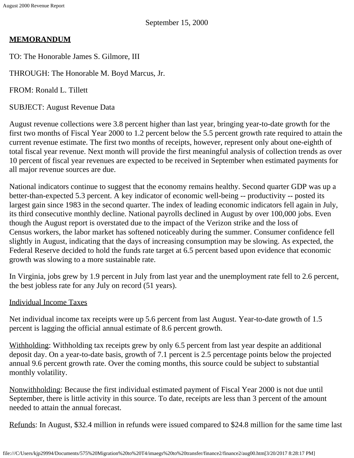# **MEMORANDUM**

TO: The Honorable James S. Gilmore, III

THROUGH: The Honorable M. Boyd Marcus, Jr.

FROM: Ronald L. Tillett

SUBJECT: August Revenue Data

August revenue collections were 3.8 percent higher than last year, bringing year-to-date growth for the first two months of Fiscal Year 2000 to 1.2 percent below the 5.5 percent growth rate required to attain the current revenue estimate. The first two months of receipts, however, represent only about one-eighth of total fiscal year revenue. Next month will provide the first meaningful analysis of collection trends as over 10 percent of fiscal year revenues are expected to be received in September when estimated payments for all major revenue sources are due.

National indicators continue to suggest that the economy remains healthy. Second quarter GDP was up a better-than-expected 5.3 percent. A key indicator of economic well-being -- productivity -- posted its largest gain since 1983 in the second quarter. The index of leading economic indicators fell again in July, its third consecutive monthly decline. National payrolls declined in August by over 100,000 jobs. Even though the August report is overstated due to the impact of the Verizon strike and the loss of Census workers, the labor market has softened noticeably during the summer. Consumer confidence fell slightly in August, indicating that the days of increasing consumption may be slowing. As expected, the Federal Reserve decided to hold the funds rate target at 6.5 percent based upon evidence that economic growth was slowing to a more sustainable rate.

In Virginia, jobs grew by 1.9 percent in July from last year and the unemployment rate fell to 2.6 percent, the best jobless rate for any July on record (51 years).

# Individual Income Taxes

Net individual income tax receipts were up 5.6 percent from last August. Year-to-date growth of 1.5 percent is lagging the official annual estimate of 8.6 percent growth.

Withholding: Withholding tax receipts grew by only 6.5 percent from last year despite an additional deposit day. On a year-to-date basis, growth of 7.1 percent is 2.5 percentage points below the projected annual 9.6 percent growth rate. Over the coming months, this source could be subject to substantial monthly volatility.

Nonwithholding: Because the first individual estimated payment of Fiscal Year 2000 is not due until September, there is little activity in this source. To date, receipts are less than 3 percent of the amount needed to attain the annual forecast.

Refunds: In August, \$32.4 million in refunds were issued compared to \$24.8 million for the same time last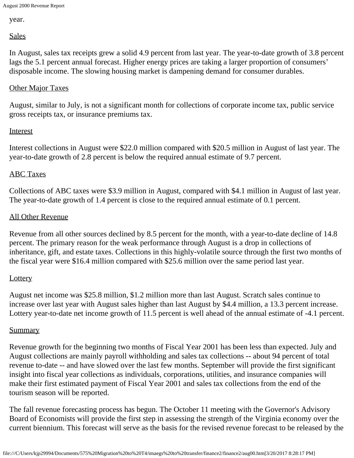year.

Sales

In August, sales tax receipts grew a solid 4.9 percent from last year. The year-to-date growth of 3.8 percent lags the 5.1 percent annual forecast. Higher energy prices are taking a larger proportion of consumers' disposable income. The slowing housing market is dampening demand for consumer durables.

## **Other Major Taxes**

August, similar to July, is not a significant month for collections of corporate income tax, public service gross receipts tax, or insurance premiums tax.

#### Interest

Interest collections in August were \$22.0 million compared with \$20.5 million in August of last year. The year-to-date growth of 2.8 percent is below the required annual estimate of 9.7 percent.

#### ABC Taxes

Collections of ABC taxes were \$3.9 million in August, compared with \$4.1 million in August of last year. The year-to-date growth of 1.4 percent is close to the required annual estimate of 0.1 percent.

#### All Other Revenue

Revenue from all other sources declined by 8.5 percent for the month, with a year-to-date decline of 14.8 percent. The primary reason for the weak performance through August is a drop in collections of inheritance, gift, and estate taxes. Collections in this highly-volatile source through the first two months of the fiscal year were \$16.4 million compared with \$25.6 million over the same period last year.

## **Lottery**

August net income was \$25.8 million, \$1.2 million more than last August. Scratch sales continue to increase over last year with August sales higher than last August by \$4.4 million, a 13.3 percent increase. Lottery year-to-date net income growth of 11.5 percent is well ahead of the annual estimate of -4.1 percent.

## **Summary**

Revenue growth for the beginning two months of Fiscal Year 2001 has been less than expected. July and August collections are mainly payroll withholding and sales tax collections -- about 94 percent of total revenue to-date -- and have slowed over the last few months. September will provide the first significant insight into fiscal year collections as individuals, corporations, utilities, and insurance companies will make their first estimated payment of Fiscal Year 2001 and sales tax collections from the end of the tourism season will be reported.

The fall revenue forecasting process has begun. The October 11 meeting with the Governor's Advisory Board of Economists will provide the first step in assessing the strength of the Virginia economy over the current biennium. This forecast will serve as the basis for the revised revenue forecast to be released by the